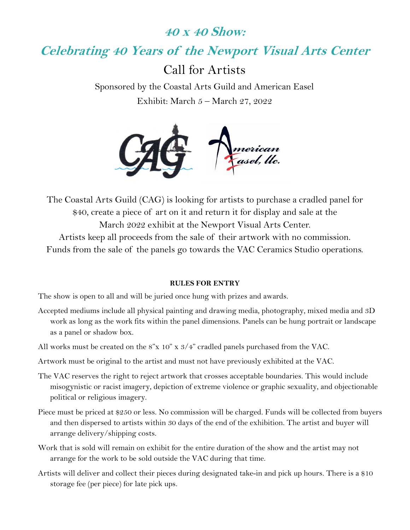# 40 x 40 Show:

Celebrating 40 Years of the Newport Visual Arts Center

Call for Artists

Sponsored by the Coastal Arts Guild and American Easel Exhibit: March 5 – March 27, 2022



The Coastal Arts Guild (CAG) is looking for artists to purchase a cradled panel for \$40, create a piece of art on it and return it for display and sale at the March 2022 exhibit at the Newport Visual Arts Center. Artists keep all proceeds from the sale of their artwork with no commission. Funds from the sale of the panels go towards the VAC Ceramics Studio operations.

#### RULES FOR ENTRY

The show is open to all and will be juried once hung with prizes and awards.

- Accepted mediums include all physical painting and drawing media, photography, mixed media and 3D work as long as the work fits within the panel dimensions. Panels can be hung portrait or landscape as a panel or shadow box.
- All works must be created on the 8"x 10" x 3/4" cradled panels purchased from the VAC.
- Artwork must be original to the artist and must not have previously exhibited at the VAC.
- The VAC reserves the right to reject artwork that crosses acceptable boundaries. This would include misogynistic or racist imagery, depiction of extreme violence or graphic sexuality, and objectionable political or religious imagery.
- Piece must be priced at \$250 or less. No commission will be charged. Funds will be collected from buyers and then dispersed to artists within 30 days of the end of the exhibition. The artist and buyer will arrange delivery/shipping costs.
- Work that is sold will remain on exhibit for the entire duration of the show and the artist may not arrange for the work to be sold outside the VAC during that time.
- Artists will deliver and collect their pieces during designated take-in and pick up hours. There is a \$10 storage fee (per piece) for late pick ups.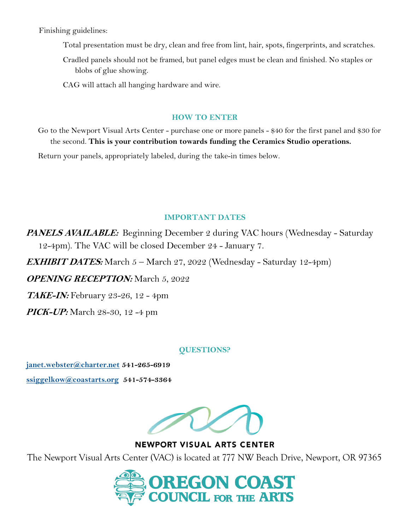Finishing guidelines:

Total presentation must be dry, clean and free from lint, hair, spots, fingerprints, and scratches.

Cradled panels should not be framed, but panel edges must be clean and finished. No staples or blobs of glue showing.

CAG will attach all hanging hardware and wire.

#### HOW TO ENTER

Go to the Newport Visual Arts Center - purchase one or more panels - \$40 for the first panel and \$30 for the second. This is your contribution towards funding the Ceramics Studio operations.

Return your panels, appropriately labeled, during the take-in times below.

### IMPORTANT DATES

**PANELS AVAILABLE:** Beginning December 2 during VAC hours (Wednesday - Saturday 12-4pm). The VAC will be closed December 24 - January 7.

**EXHIBIT DATES:** March  $5 -$  March  $27$ ,  $2022$  (Wednesday - Saturday 12-4pm)

OPENING RECEPTION: March 5, 2022

**TAKE-IN:** February 23-26, 12 - 4pm

**PICK-UP:** March 28-30, 12 -4 pm

### QUESTIONS?

janet.webster@charter.net 541-265-6919 ssiggelkow@coastarts.org 541-574-3364



**NEWPORT VISUAL ARTS CENTER** 

The Newport Visual Arts Center (VAC) is located at 777 NW Beach Drive, Newport, OR 97365